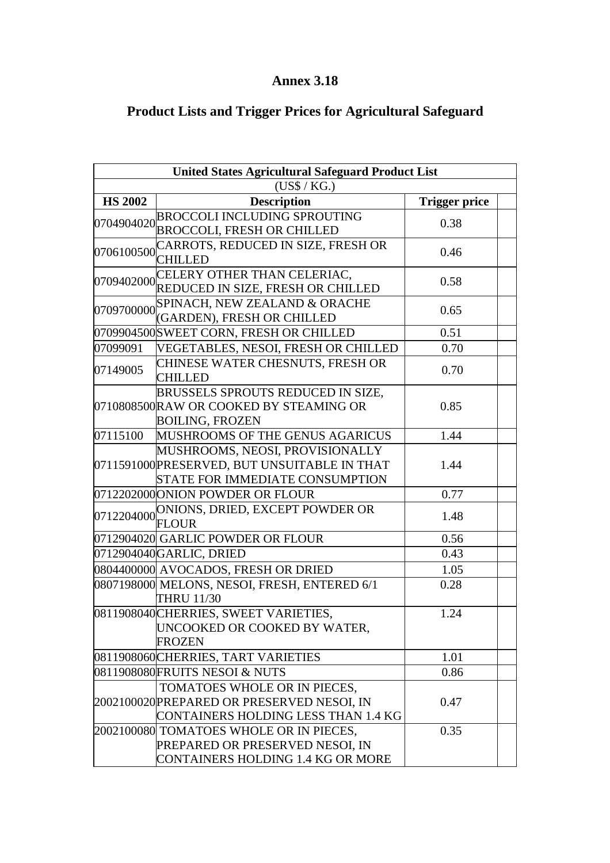## **Annex 3.18**

## **Product Lists and Trigger Prices for Agricultural Safeguard**

| <b>United States Agricultural Safeguard Product List</b> |                                                                                                                           |                      |  |
|----------------------------------------------------------|---------------------------------------------------------------------------------------------------------------------------|----------------------|--|
| (US\$ / KG.)                                             |                                                                                                                           |                      |  |
| <b>HS 2002</b>                                           | <b>Description</b>                                                                                                        | <b>Trigger price</b> |  |
|                                                          | 0704904020 BROCCOLI INCLUDING SPROUTING<br><b>BROCCOLI, FRESH OR CHILLED</b>                                              | 0.38                 |  |
| 0706100500 CHILLED                                       | CARROTS, REDUCED IN SIZE, FRESH OR                                                                                        | 0.46                 |  |
|                                                          | 0709402000 CELERY OTHER THAN CELERIAC,<br>REDUCED IN SIZE, FRESH OR CHILLED                                               | 0.58                 |  |
| 0709700000                                               | SPINACH, NEW ZEALAND & ORACHE<br>(GARDEN), FRESH OR CHILLED                                                               | 0.65                 |  |
|                                                          | 0709904500 SWEET CORN, FRESH OR CHILLED                                                                                   | 0.51                 |  |
| 07099091                                                 | VEGETABLES, NESOI, FRESH OR CHILLED                                                                                       | 0.70                 |  |
| 07149005                                                 | CHINESE WATER CHESNUTS, FRESH OR<br><b>CHILLED</b>                                                                        | 0.70                 |  |
|                                                          | BRUSSELS SPROUTS REDUCED IN SIZE,<br>0710808500 RAW OR COOKED BY STEAMING OR<br><b>BOILING, FROZEN</b>                    | 0.85                 |  |
| 07115100                                                 | MUSHROOMS OF THE GENUS AGARICUS                                                                                           | 1.44                 |  |
|                                                          | MUSHROOMS, NEOSI, PROVISIONALLY<br>0711591000 PRESERVED, BUT UNSUITABLE IN THAT<br><b>STATE FOR IMMEDIATE CONSUMPTION</b> | 1.44                 |  |
|                                                          | 0712202000 ONION POWDER OR FLOUR                                                                                          | 0.77                 |  |
|                                                          | 0712204000 NIONS, DRIED, EXCEPT POWDER OR<br><b>FLOUR</b>                                                                 | 1.48                 |  |
|                                                          | 0712904020 GARLIC POWDER OR FLOUR                                                                                         | 0.56                 |  |
| 0712904040 GARLIC, DRIED<br>0.43                         |                                                                                                                           |                      |  |
| 0804400000 AVOCADOS, FRESH OR DRIED<br>1.05              |                                                                                                                           |                      |  |
|                                                          | 0807198000 MELONS, NESOI, FRESH, ENTERED 6/1<br><b>THRU 11/30</b>                                                         | 0.28                 |  |
|                                                          | 0811908040 CHERRIES, SWEET VARIETIES,<br>UNCOOKED OR COOKED BY WATER,<br><b>FROZEN</b>                                    | 1.24                 |  |
|                                                          | 0811908060 CHERRIES, TART VARIETIES                                                                                       | 1.01                 |  |
|                                                          | 0811908080FRUITS NESOI & NUTS                                                                                             | 0.86                 |  |
|                                                          | TOMATOES WHOLE OR IN PIECES,<br>2002100020 PREPARED OR PRESERVED NESOI, IN<br>CONTAINERS HOLDING LESS THAN 1.4 KG         | 0.47                 |  |
|                                                          | 2002100080 TOMATOES WHOLE OR IN PIECES,<br>PREPARED OR PRESERVED NESOI, IN<br>CONTAINERS HOLDING 1.4 KG OR MORE           | 0.35                 |  |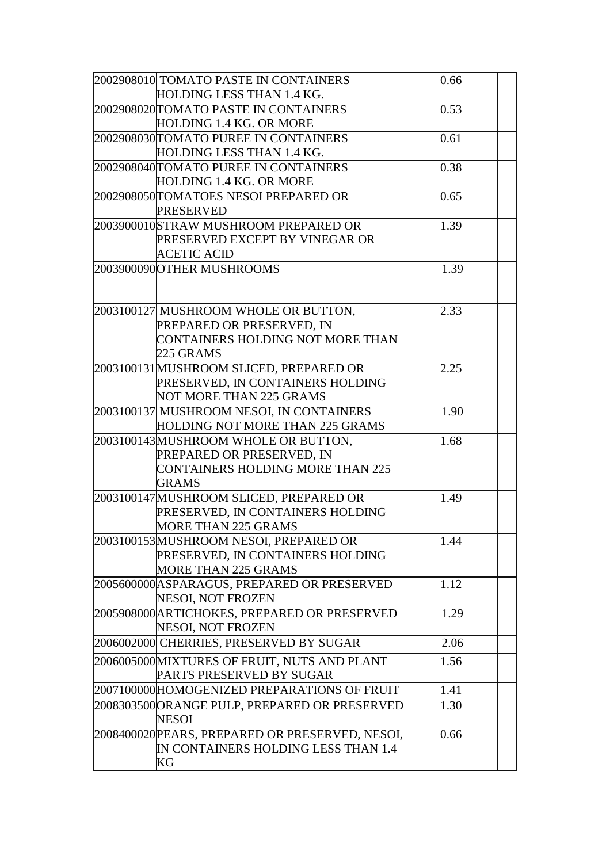| 2002908010 TOMATO PASTE IN CONTAINERS                                     | 0.66 |  |
|---------------------------------------------------------------------------|------|--|
| HOLDING LESS THAN 1.4 KG.                                                 |      |  |
| 2002908020TOMATO PASTE IN CONTAINERS                                      | 0.53 |  |
| HOLDING 1.4 KG. OR MORE                                                   |      |  |
| 2002908030TOMATO PUREE IN CONTAINERS                                      | 0.61 |  |
| HOLDING LESS THAN 1.4 KG.                                                 |      |  |
| 2002908040TOMATO PUREE IN CONTAINERS                                      | 0.38 |  |
| HOLDING 1.4 KG. OR MORE                                                   |      |  |
| 2002908050TOMATOES NESOI PREPARED OR                                      | 0.65 |  |
| <b>PRESERVED</b>                                                          |      |  |
| 2003900010 STRAW MUSHROOM PREPARED OR                                     | 1.39 |  |
| PRESERVED EXCEPT BY VINEGAR OR                                            |      |  |
| <b>ACETIC ACID</b>                                                        |      |  |
| 2003900090 OTHER MUSHROOMS                                                | 1.39 |  |
|                                                                           |      |  |
|                                                                           |      |  |
| 2003100127 MUSHROOM WHOLE OR BUTTON,                                      | 2.33 |  |
| PREPARED OR PRESERVED, IN                                                 |      |  |
| CONTAINERS HOLDING NOT MORE THAN                                          |      |  |
| 225 GRAMS                                                                 |      |  |
| 2003100131MUSHROOM SLICED, PREPARED OR                                    | 2.25 |  |
| PRESERVED, IN CONTAINERS HOLDING                                          |      |  |
| <b>NOT MORE THAN 225 GRAMS</b>                                            |      |  |
| 2003100137 MUSHROOM NESOI, IN CONTAINERS                                  | 1.90 |  |
| HOLDING NOT MORE THAN 225 GRAMS                                           |      |  |
| 2003100143MUSHROOM WHOLE OR BUTTON,                                       | 1.68 |  |
| PREPARED OR PRESERVED, IN                                                 |      |  |
| <b>CONTAINERS HOLDING MORE THAN 225</b>                                   |      |  |
| <b>GRAMS</b>                                                              |      |  |
| 2003100147 MUSHROOM SLICED, PREPARED OR                                   | 1.49 |  |
| PRESERVED, IN CONTAINERS HOLDING                                          |      |  |
| <b>MORE THAN 225 GRAMS</b>                                                |      |  |
| 2003100153MUSHROOM NESOI, PREPARED OR<br>PRESERVED, IN CONTAINERS HOLDING | 1.44 |  |
| <b>MORE THAN 225 GRAMS</b>                                                |      |  |
| 2005600000 ASPARAGUS, PREPARED OR PRESERVED                               | 1.12 |  |
| NESOI, NOT FROZEN                                                         |      |  |
| 2005908000 ARTICHOKES, PREPARED OR PRESERVED                              | 1.29 |  |
| NESOI, NOT FROZEN                                                         |      |  |
| 2006002000 CHERRIES, PRESERVED BY SUGAR                                   | 2.06 |  |
| 2006005000MIXTURES OF FRUIT, NUTS AND PLANT                               | 1.56 |  |
| PARTS PRESERVED BY SUGAR                                                  |      |  |
| 2007100000HOMOGENIZED PREPARATIONS OF FRUIT                               | 1.41 |  |
| 2008303500 ORANGE PULP, PREPARED OR PRESERVED                             | 1.30 |  |
| <b>NESOI</b>                                                              |      |  |
| 2008400020 PEARS, PREPARED OR PRESERVED, NESOI,                           | 0.66 |  |
| IN CONTAINERS HOLDING LESS THAN 1.4                                       |      |  |
| KG                                                                        |      |  |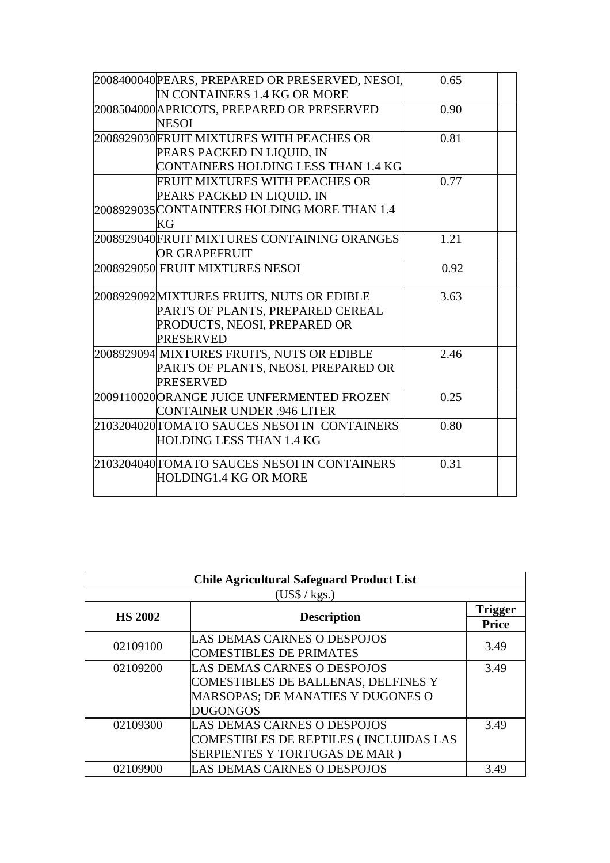| 2008400040 PEARS, PREPARED OR PRESERVED, NESOI, | 0.65 |  |
|-------------------------------------------------|------|--|
| IN CONTAINERS 1.4 KG OR MORE                    |      |  |
| 2008504000 APRICOTS, PREPARED OR PRESERVED      | 0.90 |  |
| <b>NESOI</b>                                    |      |  |
| 2008929030FRUIT MIXTURES WITH PEACHES OR        | 0.81 |  |
| PEARS PACKED IN LIQUID, IN                      |      |  |
| CONTAINERS HOLDING LESS THAN 1.4 KG             |      |  |
| FRUIT MIXTURES WITH PEACHES OR                  | 0.77 |  |
| PEARS PACKED IN LIQUID, IN                      |      |  |
| 2008929035 CONTAINTERS HOLDING MORE THAN 1.4    |      |  |
| KG                                              |      |  |
| 2008929040FRUIT MIXTURES CONTAINING ORANGES     | 1.21 |  |
| OR GRAPEFRUIT                                   |      |  |
| 2008929050 FRUIT MIXTURES NESOI                 | 0.92 |  |
|                                                 |      |  |
| 2008929092MIXTURES FRUITS, NUTS OR EDIBLE       | 3.63 |  |
| PARTS OF PLANTS, PREPARED CEREAL                |      |  |
| PRODUCTS, NEOSI, PREPARED OR                    |      |  |
| <b>PRESERVED</b>                                |      |  |
| 2008929094 MIXTURES FRUITS, NUTS OR EDIBLE      | 2.46 |  |
| PARTS OF PLANTS, NEOSI, PREPARED OR             |      |  |
| <b>PRESERVED</b>                                |      |  |
| 2009110020ORANGE JUICE UNFERMENTED FROZEN       | 0.25 |  |
| <b>CONTAINER UNDER .946 LITER</b>               |      |  |
| 2103204020TOMATO SAUCES NESOI IN CONTAINERS     | 0.80 |  |
| HOLDING LESS THAN 1.4 KG                        |      |  |
| 2103204040 TOMATO SAUCES NESOI IN CONTAINERS    | 0.31 |  |
| HOLDING1.4 KG OR MORE                           |      |  |
|                                                 |      |  |

| <b>Chile Agricultural Safeguard Product List</b> |                                          |      |  |
|--------------------------------------------------|------------------------------------------|------|--|
| (US\$ / kgs.)                                    |                                          |      |  |
|                                                  | <b>HS 2002</b><br><b>Description</b>     |      |  |
|                                                  |                                          |      |  |
| 02109100                                         | LAS DEMAS CARNES O DESPOJOS              | 3.49 |  |
|                                                  | <b>COMESTIBLES DE PRIMATES</b>           |      |  |
| 02109200                                         | LAS DEMAS CARNES O DESPOJOS              | 3.49 |  |
|                                                  | COMESTIBLES DE BALLENAS, DELFINES Y      |      |  |
|                                                  | <b>MARSOPAS; DE MANATIES Y DUGONES O</b> |      |  |
|                                                  | <b>DUGONGOS</b>                          |      |  |
| 02109300                                         | LAS DEMAS CARNES O DESPOJOS              | 3.49 |  |
|                                                  | COMESTIBLES DE REPTILES (INCLUIDAS LAS   |      |  |
|                                                  | SERPIENTES Y TORTUGAS DE MAR)            |      |  |
| 02109900                                         | LAS DEMAS CARNES O DESPOJOS              | 3.49 |  |